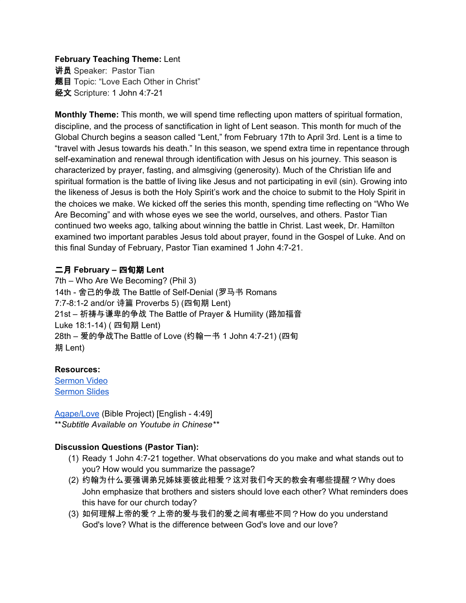#### **February Teaching Theme:** Lent

讲员 Speaker: Pastor Tian **题目** Topic: "Love Each Other in Christ" 经文 Scripture: 1 John 4:7-21

**Monthly Theme:** This month, we will spend time reflecting upon matters of spiritual formation, discipline, and the process of sanctification in light of Lent season. This month for much of the Global Church begins a season called "Lent," from February 17th to April 3rd. Lent is a time to "travel with Jesus towards his death." In this season, we spend extra time in repentance through self-examination and renewal through identification with Jesus on his journey. This season is characterized by prayer, fasting, and almsgiving (generosity). Much of the Christian life and spiritual formation is the battle of living like Jesus and not participating in evil (sin). Growing into the likeness of Jesus is both the Holy Spirit's work and the choice to submit to the Holy Spirit in the choices we make. We kicked off the series this month, spending time reflecting on "Who We Are Becoming" and with whose eyes we see the world, ourselves, and others. Pastor Tian continued two weeks ago, talking about winning the battle in Christ. Last week, Dr. Hamilton examined two important parables Jesus told about prayer, found in the Gospel of Luke. And on this final Sunday of February, Pastor Tian examined 1 John 4:7-21.

# 二月 **February –** 四旬期 **Lent**

7th – Who Are We Becoming? (Phil 3) 14th - 舍己的争战 The Battle of Self-Denial (罗马书 Romans 7:7-8:1-2 and/or 诗篇 Proverbs 5) (四旬期 Lent) 21st – 祈祷与谦卑的争战 The Battle of Prayer & Humility (路加福音 Luke 18:1-14) ( 四旬期 Lent) 28th – 爱的争战The Battle of Love (约翰一书 1 John 4:7-21) (四旬 期 Lent)

# **Resources:**

[Sermon](https://www.youtube.com/watch?v=IEIYCBnP8wc) Video [Sermon](http://www.lcccky.org/CellGroup/Meetings/%E5%9C%A8%E5%9F%BA%E7%9D%A3%E9%87%8C%E7%9A%84%E5%BD%BC%E6%AD%A4%E7%9B%B8%E7%88%B1.pdf) Slides

[Agape/Love](https://bibleproject.com/explore/video/agape-love) (Bible Project) [English - 4:49] \*\**Subtitle Available on Youtube in Chinese\*\**

# **Discussion Questions (Pastor Tian):**

- (1) Ready 1 John 4:7-21 together. What observations do you make and what stands out to you? How would you summarize the passage?
- (2) 约翰为什么要强调弟兄姊妹要彼此相爱?这对我们今天的教会有哪些提醒?Why does John emphasize that brothers and sisters should love each other? What reminders does this have for our church today?
- (3) 如何理解上帝的爱?上帝的爱与我们的爱之间有哪些不同?How do you understand God's love? What is the difference between God's love and our love?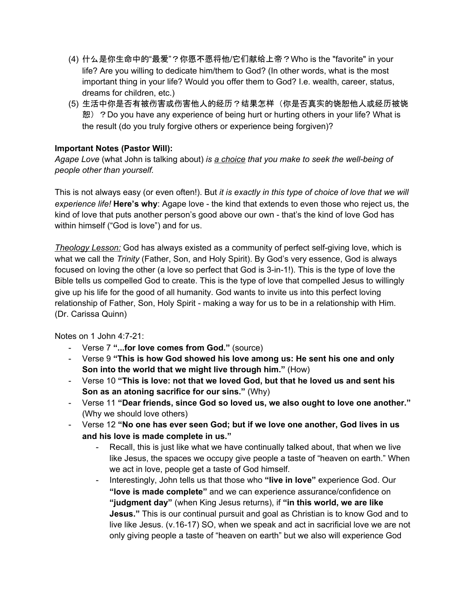- (4) 什么是你生命中的"最爱"?你愿不愿将他/它们献给上帝?Who is the "favorite" in your life? Are you willing to dedicate him/them to God? (In other words, what is the most important thing in your life? Would you offer them to God? I.e. wealth, career, status, dreams for children, etc.)
- (5) 生活中你是否有被伤害或伤害他人的经历?结果怎样(你是否真实的饶恕他人或经历被饶 恕) ?Do you have any experience of being hurt or hurting others in your life? What is the result (do you truly forgive others or experience being forgiven)?

## **Important Notes (Pastor Will):**

*Agape Love* (what John is talking about) *is a choice that you make to seek the well-being of people other than yourself.*

This is not always easy (or even often!). But *it is exactly in this type of choice of love that we will experience life!* **Here's why**: Agape love - the kind that extends to even those who reject us, the kind of love that puts another person's good above our own - that's the kind of love God has within himself ("God is love") and for us.

*Theology Lesson:* God has always existed as a community of perfect self-giving love, which is what we call the *Trinity* (Father, Son, and Holy Spirit). By God's very essence, God is always focused on loving the other (a love so perfect that God is 3-in-1!). This is the type of love the Bible tells us compelled God to create. This is the type of love that compelled Jesus to willingly give up his life for the good of all humanity. God wants to invite us into this perfect loving relationship of Father, Son, Holy Spirit - making a way for us to be in a relationship with Him. (Dr. Carissa Quinn)

Notes on 1 John 4:7-21:

- Verse 7 **"...for love comes from God."** (source)
- Verse 9 **"This is how God showed his love among us: He sent his one and only Son into the world that we might live through him."** (How)
- Verse 10 **"This is love: not that we loved God, but that he loved us and sent his Son as an atoning sacrifice for our sins."** (Why)
- Verse 11 **"Dear friends, since God so loved us, we also ought to love one another."** (Why we should love others)
- Verse 12 **"No one has ever seen God; but if we love one another, God lives in us and his love is made complete in us."**
	- Recall, this is just like what we have continually talked about, that when we live like Jesus, the spaces we occupy give people a taste of "heaven on earth." When we act in love, people get a taste of God himself.
	- Interestingly, John tells us that those who **"live in love"** experience God. Our **"love is made complete"** and we can experience assurance/confidence on **"judgment day"** (when King Jesus returns), if **"in this world, we are like Jesus."** This is our continual pursuit and goal as Christian is to know God and to live like Jesus. (v.16-17) SO, when we speak and act in sacrificial love we are not only giving people a taste of "heaven on earth" but we also will experience God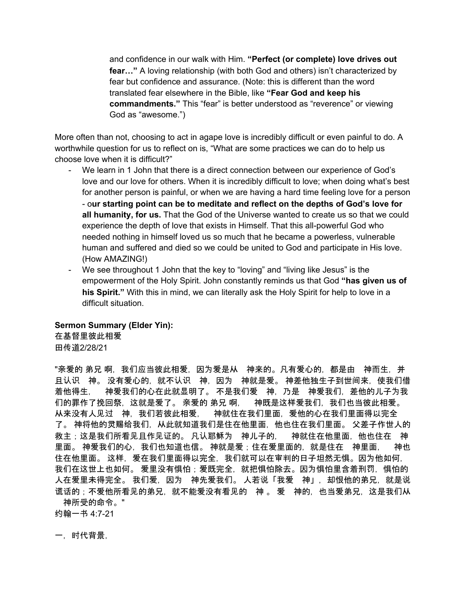and confidence in our walk with Him. **"Perfect (or complete) love drives out fear…"** A loving relationship (with both God and others) isn't characterized by fear but confidence and assurance. (Note: this is different than the word translated fear elsewhere in the Bible, like **"Fear God and keep his commandments."** This "fear" is better understood as "reverence" or viewing God as "awesome.")

More often than not, choosing to act in agape love is incredibly difficult or even painful to do. A worthwhile question for us to reflect on is, "What are some practices we can do to help us choose love when it is difficult?"

- We learn in 1 John that there is a direct connection between our experience of God's love and our love for others. When it is incredibly difficult to love; when doing what's best for another person is painful, or when we are having a hard time feeling love for a person - o**ur starting point can be to meditate and reflect on the depths of God's love for all humanity, for us.** That the God of the Universe wanted to create us so that we could experience the depth of love that exists in Himself. That this all-powerful God who needed nothing in himself loved us so much that he became a powerless, vulnerable human and suffered and died so we could be united to God and participate in His love. (How AMAZING!)
- We see throughout 1 John that the key to "loving" and "living like Jesus" is the empowerment of the Holy Spirit. John constantly reminds us that God **"has given us of his Spirit."** With this in mind, we can literally ask the Holy Spirit for help to love in a difficult situation.

#### **Sermon Summary (Elder Yin):**

在基督里彼此相爱 田传道2/28/21

"亲爱的 弟兄 啊,我们应当彼此相爱,因为爱是从《神来的。凡有爱心的,都是由《神而生,并 且认识 神。 没有爱心的,就不认识 神,因为 神就是爱。 神差他独生子到世间来,使我们借 着他得生, 神爱我们的心在此就显明了。 不是我们爱 神,乃是 神爱我们,差他的儿子为我 们的罪作了挽回祭,这就是爱了。 亲爱的 弟兄 啊, 神既是这样爱我们,我们也当彼此相爱。 从来没有人见过 神,我们若彼此相爱, 神就住在我们里面,爱他的心在我们里面得以完全 了。 神将他的灵赐给我们,从此就知道我们是住在他里面,他也住在我们里面。 父差子作世人的 救主;这是我们所看见且作见证的。 凡认耶稣为 神儿子的, 神就住在他里面,他也住在 神 里面。 神爱我们的心,我们也知道也信。 神就是爱;住在爱里面的,就是住在 神里面, 神也 住在他里面。这样,爱在我们里面得以完全,我们就可以在审判的日子坦然无惧。因为他如何, 我们在这世上也如何。 爱里没有惧怕;爱既完全,就把惧怕除去。因为惧怕里含着刑罚,惧怕的 人在爱里未得完全。 我们爱,因为《神先爱我们。 人若说「我爱》神」,却恨他的弟兄,就是说 谎话的;不爱他所看见的弟兄,就不能爱没有看见的 神 。 爱 神的,也当爱弟兄,这是我们从 神所受的命令。"

约翰一书 4:7-21

一,时代背景,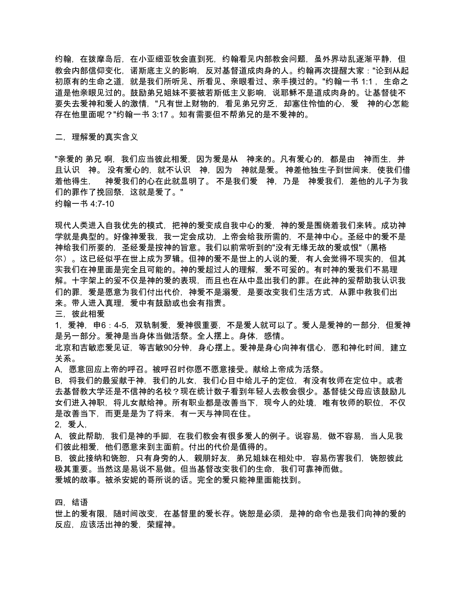约翰,在拨摩岛后,在小亚细亚牧会直到死,约翰看见内部教会问题,虽外界动乱逐渐平静,但 教会内部信仰变化,诺斯底主义的影响,反对基督道成肉身的人。约翰再次提醒大家:"论到从起 初原有的生命之道,就是我们所听见、所看见、亲眼看过、亲手摸过的。"约翰一书 1:1, 生命之 道是他亲眼见过的。鼓励弟兄姐妹不要被若斯低主义影响, 说耶稣不是道成肉身的。让基督徒**不** 要失去爱神和爱人的激情,"凡有世上财物的,看见弟兄穷乏,却塞住怜恤的心,爱 神的心怎能 存在他里面呢?"约翰一书 3:17 。知有需要但不帮弟兄的是不爱神的。

二,理解爱的真实含义

"亲爱的 弟兄 啊,我们应当彼此相爱,因为爱是从《神来的。凡有爱心的,都是由《神而生,并 且认识 神。 没有爱心的,就不认识 神,因为 神就是爱。 神差他独生子到世间来,使我们借 着他得生, 神爱我们的心在此就显明了。 不是我们爱 神,乃是 神爱我们,差他的儿子为我 们的罪作了挽回祭,这就是爱了。"

约翰一书 4:7-10

现代人类进入自我优先的模式,把神的爱变成自我中心的爱,神的爱是围绕着我们来转。成功神 学就是典型的。好像神爱我,我一定会成功,上帝会给我所需的,不是神中心。圣经中的爱不是 神给我们所要的,圣经爱是按神的旨意。我们以前常听到的"没有无缘无故的爱或恨"(黑格 尔)。这已经似乎在世上成为罗辑。但神的爱不是世上的人说的爱,有人会觉得不现实的,但其 实我们在神里面是完全且可能的。神的爱超过人的理解,爱不可爰的。有时神的爱我们不易理 解。十字架上的爰不仅是神的爱的表现,而且也在从中显出我们的罪。在此神的爰帮助我认识我 们的罪,爱是愿意为我们付出代价,神爱不是溺爱,是要改变我们生活方式,从罪中救我们出 来。带人进入真理,爱中有鼓励或也会有指责。

三,彼此相爱

1,爱神,申6:4-5,双轨制爱,爱神很重要,不是爱人就可以了。爱人是爱神的一部分,但爱神 是另一部分。爱神是当身体当做活祭。全人摆上。身体,感情。

北京和吉敏恋爱见证,等吉敏90分钟,身心摆上。爱神是身心向神有信心,愿和神化时间,建立 关系。

A,愿意回应上帝的呼召。被呼召时你愿不愿意接受。献给上帝成为活祭。

B, 将我们的最爰献于神, 我们的儿女, 我们心目中给儿子的定位, 有没有牧师在定位中。或者 去基督教大学还是不信神的名校?现在统计数子看到年轻人去教会很少。基督徒父母应该鼓励儿 女们进入神职,将儿女献给神。所有职业都是改善当下,现今人的处境,唯有牧师的职位,不仅 是改善当下,而更是是为了将来,有一天与神同在住。

2,爱人,

A,彼此帮助,我们是神的手脚,在我们教会有很多爱人的例子。说容易,做不容易,当人见我 们彼此相爱,他们愿意来到主面前。付出的代价是值得的。

B. 彼此接纳和饶恕, 只有身旁的人, 親朋好友, 弟兄姐妹在相处中, 容易伤害我们, 饶恕彼此 极其重要。当然这是易说不易做。但当基督改变我们的生命,我们可靠神而做。 爱城的故事。被杀安妮的哥所说的话。完全的爱只能神里面能找到。

四,结语

世上的爱有限,随时间改变,在基督里的爱长存。饶恕是必须,是神的命令也是我们向神的爱的 反应,应该活出神的爱,荣耀神。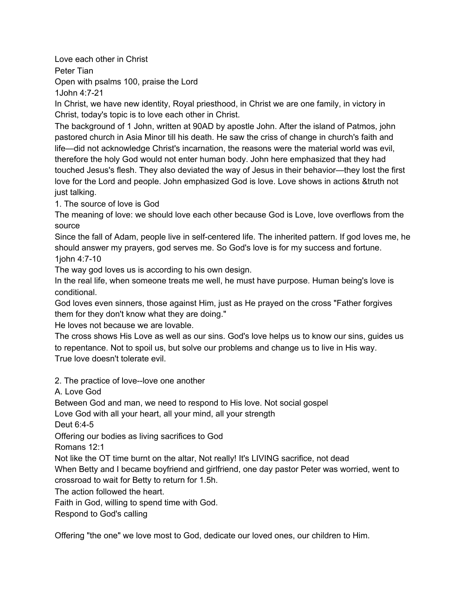Love each other in Christ

Peter Tian

Open with psalms 100, praise the Lord

1John 4:7-21

In Christ, we have new identity, Royal priesthood, in Christ we are one family, in victory in Christ, today's topic is to love each other in Christ.

The background of 1 John, written at 90AD by apostle John. After the island of Patmos, john pastored church in Asia Minor till his death. He saw the criss of change in church's faith and life—did not acknowledge Christ's incarnation, the reasons were the material world was evil, therefore the holy God would not enter human body. John here emphasized that they had touched Jesus's flesh. They also deviated the way of Jesus in their behavior—they lost the first love for the Lord and people. John emphasized God is love. Love shows in actions &truth not just talking.

1. The source of love is God

The meaning of love: we should love each other because God is Love, love overflows from the source

Since the fall of Adam, people live in self-centered life. The inherited pattern. If god loves me, he should answer my prayers, god serves me. So God's love is for my success and fortune. 1john 4:7-10

The way god loves us is according to his own design.

In the real life, when someone treats me well, he must have purpose. Human being's love is conditional.

God loves even sinners, those against Him, just as He prayed on the cross "Father forgives them for they don't know what they are doing."

He loves not because we are lovable.

The cross shows His Love as well as our sins. God's love helps us to know our sins, guides us to repentance. Not to spoil us, but solve our problems and change us to live in His way. True love doesn't tolerate evil.

2. The practice of love--love one another

A. Love God

Between God and man, we need to respond to His love. Not social gospel

Love God with all your heart, all your mind, all your strength

Deut 6:4-5

Offering our bodies as living sacrifices to God

Romans 12:1

Not like the OT time burnt on the altar, Not really! It's LIVING sacrifice, not dead

When Betty and I became boyfriend and girlfriend, one day pastor Peter was worried, went to crossroad to wait for Betty to return for 1.5h.

The action followed the heart.

Faith in God, willing to spend time with God.

Respond to God's calling

Offering "the one" we love most to God, dedicate our loved ones, our children to Him.